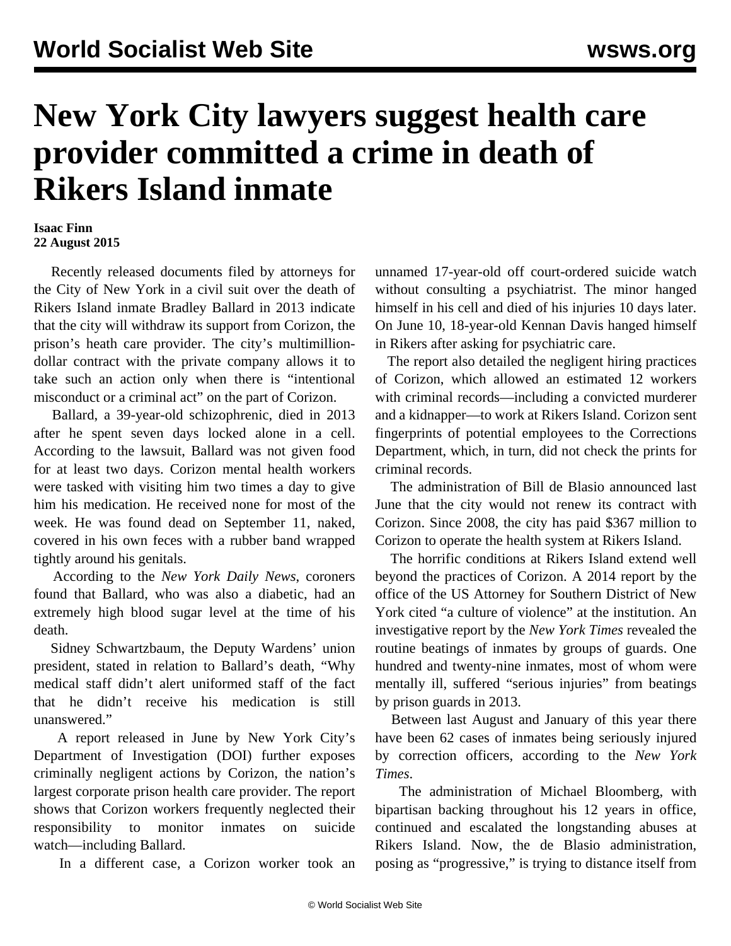## **New York City lawyers suggest health care provider committed a crime in death of Rikers Island inmate**

## **Isaac Finn 22 August 2015**

 Recently released documents filed by attorneys for the City of New York in a civil suit over the death of Rikers Island inmate Bradley Ballard in 2013 indicate that the city will withdraw its support from Corizon, the prison's heath care provider. The city's multimilliondollar contract with the private company allows it to take such an action only when there is "intentional misconduct or a criminal act" on the part of Corizon.

 Ballard, a 39-year-old schizophrenic, died in 2013 after he spent seven days locked alone in a cell. According to the lawsuit, Ballard was not given food for at least two days. Corizon mental health workers were tasked with visiting him two times a day to give him his medication. He received none for most of the week. He was found dead on September 11, naked, covered in his own feces with a rubber band wrapped tightly around his genitals.

 According to the *New York Daily News*, coroners found that Ballard, who was also a diabetic, had an extremely high blood sugar level at the time of his death.

 Sidney Schwartzbaum, the Deputy Wardens' union president, stated in relation to Ballard's death, "Why medical staff didn't alert uniformed staff of the fact that he didn't receive his medication is still unanswered."

 A report released in June by New York City's Department of Investigation (DOI) further exposes criminally negligent actions by Corizon, the nation's largest corporate prison health care provider. The report shows that Corizon workers frequently neglected their responsibility to monitor inmates on suicide watch—including Ballard.

In a different case, a Corizon worker took an

unnamed 17-year-old off court-ordered suicide watch without consulting a psychiatrist. The minor hanged himself in his cell and died of his injuries 10 days later. On June 10, 18-year-old Kennan Davis hanged himself in Rikers after asking for psychiatric care.

 The report also detailed the negligent hiring practices of Corizon, which allowed an estimated 12 workers with criminal records—including a convicted murderer and a kidnapper—to work at Rikers Island. Corizon sent fingerprints of potential employees to the Corrections Department, which, in turn, did not check the prints for criminal records.

 The administration of Bill de Blasio announced last June that the city would not renew its contract with Corizon. Since 2008, the city has paid \$367 million to Corizon to operate the health system at Rikers Island.

 The horrific conditions at Rikers Island extend well beyond the practices of Corizon. A 2014 [report](/en/articles/2014/08/06/rike-a06.html) by the office of the US Attorney for Southern District of New York cited "a culture of violence" at the institution. An investigative report by the *New York Times* revealed the routine beatings of inmates by groups of guards. One hundred and twenty-nine inmates, most of whom were mentally ill, suffered "serious injuries" from beatings by prison guards in 2013.

 Between last August and January of this year there have been 62 cases of inmates being seriously injured by correction officers, according to the *New York Times*.

 The administration of Michael Bloomberg, with bipartisan backing throughout his 12 years in office, continued and escalated the longstanding abuses at Rikers Island. Now, the de Blasio administration, posing as "progressive," is trying to distance itself from